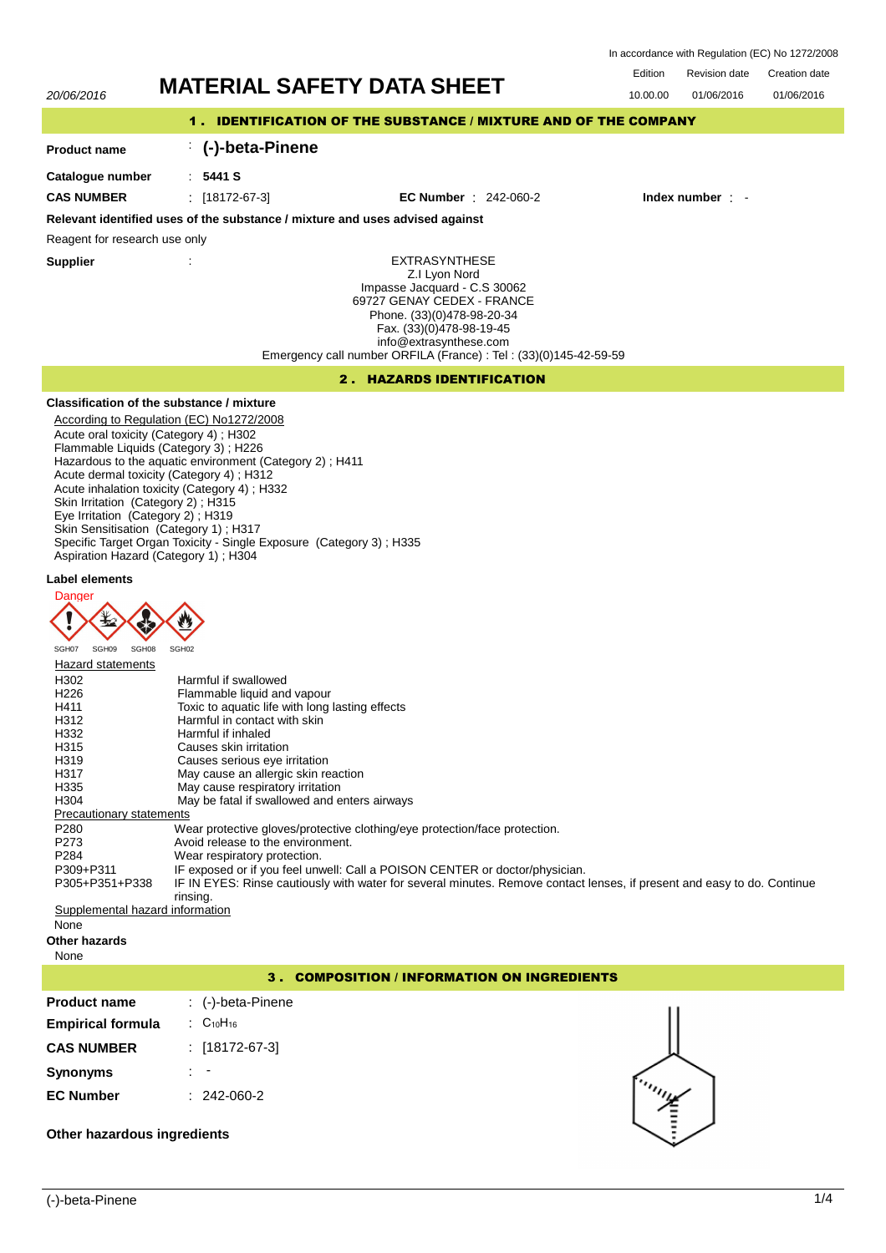In accordance with Regulation (EC) No 1272/2008

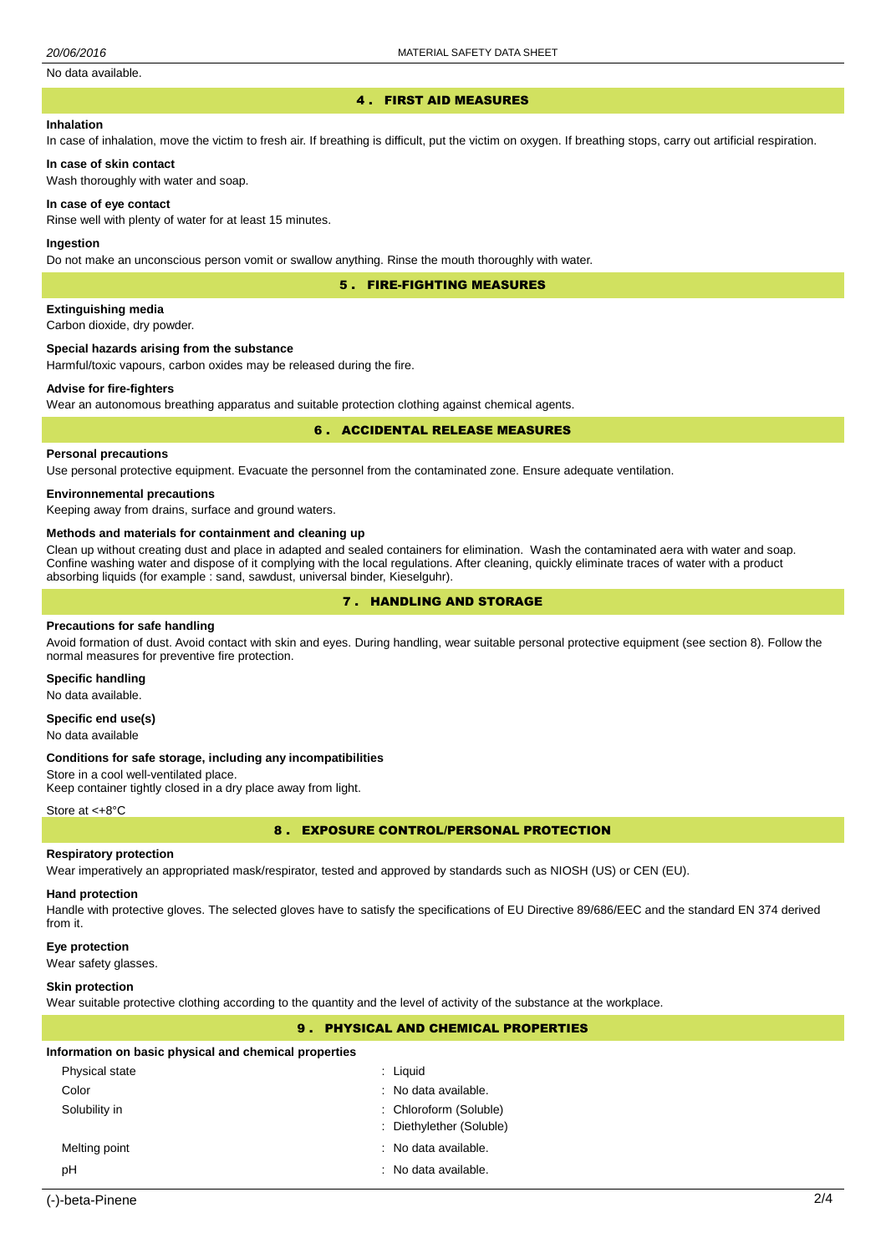## No data available.

#### 4 . FIRST AID MEASURES

#### **Inhalation**

In case of inhalation, move the victim to fresh air. If breathing is difficult, put the victim on oxygen. If breathing stops, carry out artificial respiration.

#### **In case of skin contact**

Wash thoroughly with water and soap.

#### **In case of eye contact**

Rinse well with plenty of water for at least 15 minutes.

#### **Ingestion**

Do not make an unconscious person vomit or swallow anything. Rinse the mouth thoroughly with water.

## 5 . FIRE-FIGHTING MEASURES

**Extinguishing media**

Carbon dioxide, dry powder.

## **Special hazards arising from the substance**

Harmful/toxic vapours, carbon oxides may be released during the fire.

#### **Advise for fire-fighters**

Wear an autonomous breathing apparatus and suitable protection clothing against chemical agents.

#### 6 . ACCIDENTAL RELEASE MEASURES

#### **Personal precautions**

Use personal protective equipment. Evacuate the personnel from the contaminated zone. Ensure adequate ventilation.

#### **Environnemental precautions**

Keeping away from drains, surface and ground waters.

#### **Methods and materials for containment and cleaning up**

Clean up without creating dust and place in adapted and sealed containers for elimination. Wash the contaminated aera with water and soap. Confine washing water and dispose of it complying with the local regulations. After cleaning, quickly eliminate traces of water with a product absorbing liquids (for example : sand, sawdust, universal binder, Kieselguhr).

## 7 . HANDLING AND STORAGE

# **Precautions for safe handling**

Avoid formation of dust. Avoid contact with skin and eyes. During handling, wear suitable personal protective equipment (see section 8). Follow the normal measures for preventive fire protection.

# **Specific handling**

No data available.

## **Specific end use(s)**

No data available

#### **Conditions for safe storage, including any incompatibilities**

Store in a cool well-ventilated place.

Keep container tightly closed in a dry place away from light.

Store at <+8°C

## 8 . EXPOSURE CONTROL/PERSONAL PROTECTION

#### **Respiratory protection**

Wear imperatively an appropriated mask/respirator, tested and approved by standards such as NIOSH (US) or CEN (EU).

#### **Hand protection**

Handle with protective gloves. The selected gloves have to satisfy the specifications of EU Directive 89/686/EEC and the standard EN 374 derived from it.

#### **Eye protection**

Wear safety glasses.

## **Skin protection**

Wear suitable protective clothing according to the quantity and the level of activity of the substance at the workplace.

## 9 . PHYSICAL AND CHEMICAL PROPERTIES

## **Information on basic physical and chemical properties**

| Physical state | $:$ Liquid               |
|----------------|--------------------------|
| Color          | : No data available.     |
| Solubility in  | : Chloroform (Soluble)   |
|                | : Diethylether (Soluble) |
| Melting point  | : No data available.     |
| рH             | : No data available.     |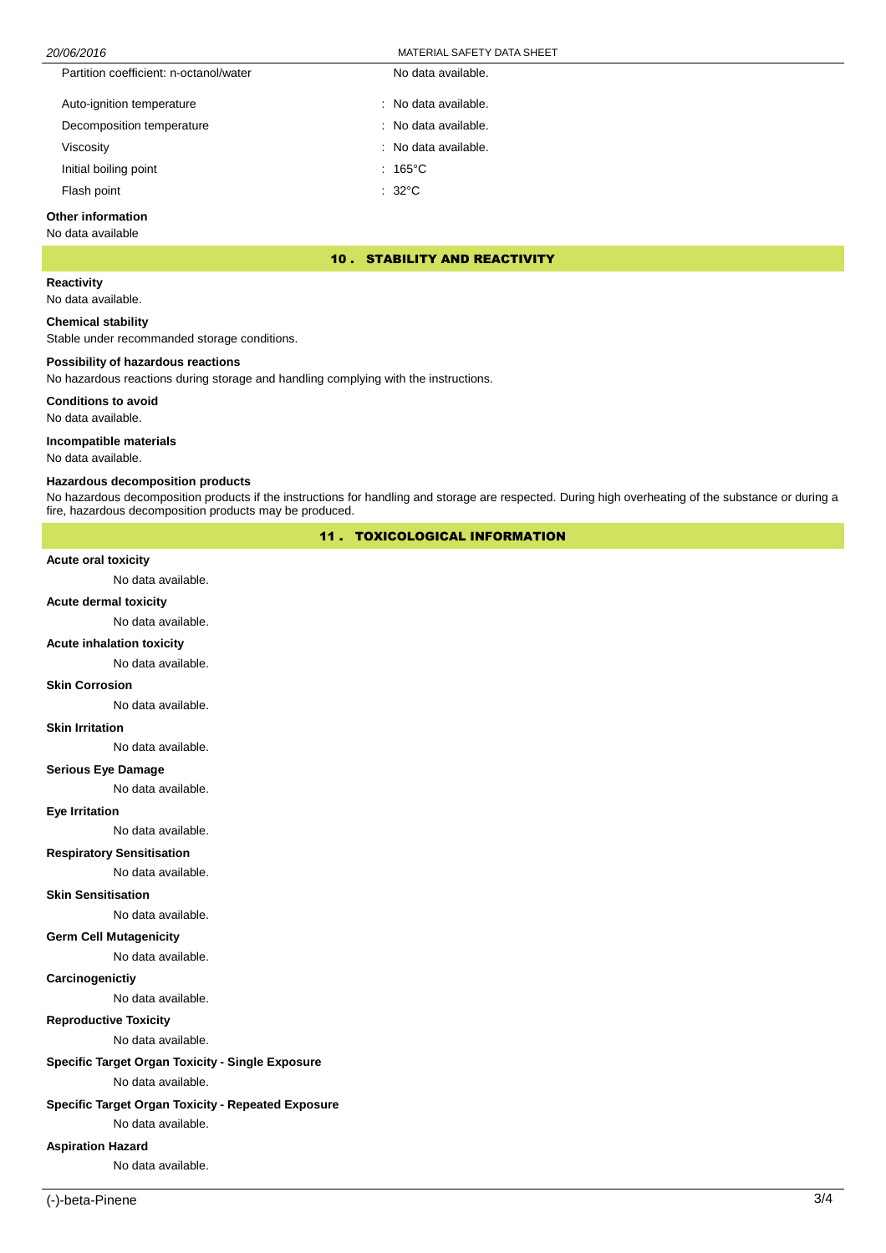| Partition coefficient: n-octanol/water | No data available.     |
|----------------------------------------|------------------------|
| Auto-ignition temperature              | $:$ No data available. |
| Decomposition temperature              | : No data available.   |
| Viscosity                              | : No data available.   |
| Initial boiling point                  | $: 165^{\circ}$ C      |
| Flash point                            | $: 32^{\circ}$ C       |

## **Other information**

No data available

## 10 . STABILITY AND REACTIVITY

## **Reactivity**

No data available.

## **Chemical stability**

Stable under recommanded storage conditions.

## **Possibility of hazardous reactions**

No hazardous reactions during storage and handling complying with the instructions.

## **Conditions to avoid**

No data available.

## **Incompatible materials**

No data available.

## **Hazardous decomposition products**

No hazardous decomposition products if the instructions for handling and storage are respected. During high overheating of the substance or during a fire, hazardous decomposition products may be produced.

## 11 . TOXICOLOGICAL INFORMATION

## **Acute oral toxicity**

No data available.

#### **Acute dermal toxicity**

No data available.

#### **Acute inhalation toxicity**

No data available.

#### **Skin Corrosion**

No data available.

# **Skin Irritation**

No data available.

## **Serious Eye Damage**

No data available.

#### **Eye Irritation**

No data available.

#### **Respiratory Sensitisation**

No data available.

#### **Skin Sensitisation**

No data available.

# **Germ Cell Mutagenicity**

No data available.

## **Carcinogenictiy**

No data available.

## **Reproductive Toxicity**

No data available.

# **Specific Target Organ Toxicity - Single Exposure**

No data available.

# **Specific Target Organ Toxicity - Repeated Exposure**

No data available.

# **Aspiration Hazard**

No data available.